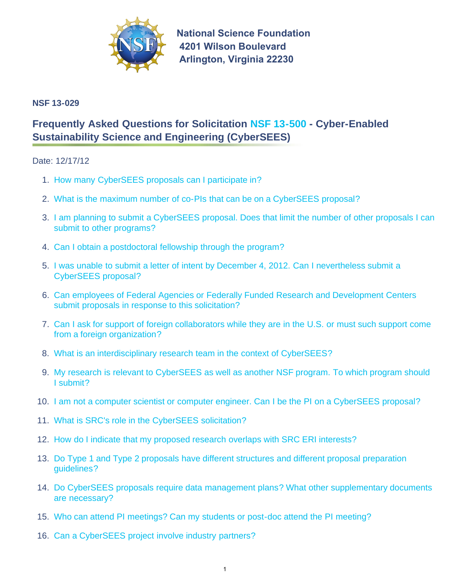

**National Science Foundation 4201 Wilson Boulevard Arlington, Virginia 22230** 

# **NSF 13-029**

# **Frequently Asked Questions for Solicitation [NSF 13-500 -](http://www.nsf.gov/publications/pub_summ.jsp?ods_key=nsf13500) Cyber-Enabled Sustainability Science and Engineering (CyberSEES)**

## Date: 12/17/12

- 1. [How many CyberSEES proposals can I participate in?](#page-1-0)
- 2. [What is the maximum number of co-PIs that can be on a CyberSEES proposal?](#page-1-0)
- 3. [I am planning to submit a CyberSEES proposal. Does that limit the number of other proposals I can](#page-1-0) submit to other programs?
- 4. [Can I obtain a postdoctoral fellowship through the program?](#page-1-0)
- 5. [I was unable to submit a letter of intent by December 4, 2012. Can I nevertheless submit a](#page-1-0) CyberSEES proposal?
- 6. [Can employees of Federal Agencies or Federally Funded Research and Development Centers](#page-1-0) submit proposals in response to this solicitation?
- 7. [Can I ask for support of foreign collaborators while they are in the U.S. or must such support come](#page-2-0) from a foreign organization?
- 8. [What is an interdisciplinary research team in the context of CyberSEES?](#page-2-0)
- 9. [My research is relevant to CyberSEES as well as another NSF program. To which program should](#page-2-0) I submit?
- 10. [I am not a computer scientist or computer engineer. Can I be the PI on a CyberSEES proposal?](#page-2-0)
- 11. [What is SRC's role in the CyberSEES solicitation?](#page-2-0)
- 12. [How do I indicate that my proposed research overlaps with SRC ERI interests?](#page-3-0)
- 13. [Do Type 1 and Type 2 proposals have different structures and different proposal preparation](#page-3-0) guidelines?
- 14. [Do CyberSEES proposals require data management plans? What other supplementary documents](#page-3-0) are necessary?
- 15. [Who can attend PI meetings? Can my students or post-doc attend the PI meeting?](#page-3-0)
- 16. [Can a CyberSEES project involve industry partners?](#page-3-0)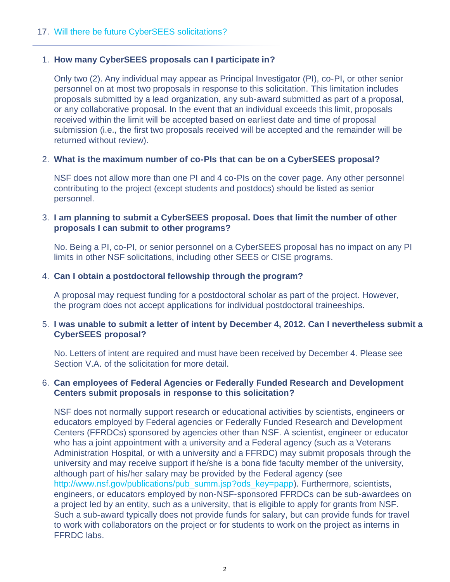## <span id="page-1-0"></span>17. [Will there be future CyberSEES solicitations?](#page-3-0)

## 1. **How many CyberSEES proposals can I participate in?**

Only two (2). Any individual may appear as Principal Investigator (PI), co-PI, or other senior personnel on at most two proposals in response to this solicitation. This limitation includes proposals submitted by a lead organization, any sub-award submitted as part of a proposal, or any collaborative proposal. In the event that an individual exceeds this limit, proposals received within the limit will be accepted based on earliest date and time of proposal submission (i.e., the first two proposals received will be accepted and the remainder will be returned without review).

## 2. **What is the maximum number of co-PIs that can be on a CyberSEES proposal?**

NSF does not allow more than one PI and 4 co-PIs on the cover page. Any other personnel contributing to the project (except students and postdocs) should be listed as senior personnel.

## 3. **I am planning to submit a CyberSEES proposal. Does that limit the number of other proposals I can submit to other programs?**

No. Being a PI, co-PI, or senior personnel on a CyberSEES proposal has no impact on any PI limits in other NSF solicitations, including other SEES or CISE programs.

## 4. **Can I obtain a postdoctoral fellowship through the program?**

A proposal may request funding for a postdoctoral scholar as part of the project. However, the program does not accept applications for individual postdoctoral traineeships.

## 5. **I was unable to submit a letter of intent by December 4, 2012. Can I nevertheless submit a CyberSEES proposal?**

No. Letters of intent are required and must have been received by December 4. Please see Section V.A. of the solicitation for more detail.

#### 6. **Can employees of Federal Agencies or Federally Funded Research and Development Centers submit proposals in response to this solicitation?**

NSF does not normally support research or educational activities by scientists, engineers or educators employed by Federal agencies or Federally Funded Research and Development Centers (FFRDCs) sponsored by agencies other than NSF. A scientist, engineer or educator who has a joint appointment with a university and a Federal agency (such as a Veterans Administration Hospital, or with a university and a FFRDC) may submit proposals through the university and may receive support if he/she is a bona fide faculty member of the university, although part of his/her salary may be provided by the Federal agency (see [http://www.nsf.gov/publications/pub\\_summ.jsp?ods\\_key=papp\)](http://www.nsf.gov/publications/pub_summ.jsp?ods_key=papp). Furthermore, scientists, engineers, or educators employed by non-NSF-sponsored FFRDCs can be sub-awardees on a project led by an entity, such as a university, that is eligible to apply for grants from NSF. Such a sub-award typically does not provide funds for salary, but can provide funds for travel to work with collaborators on the project or for students to work on the project as interns in FFRDC labs.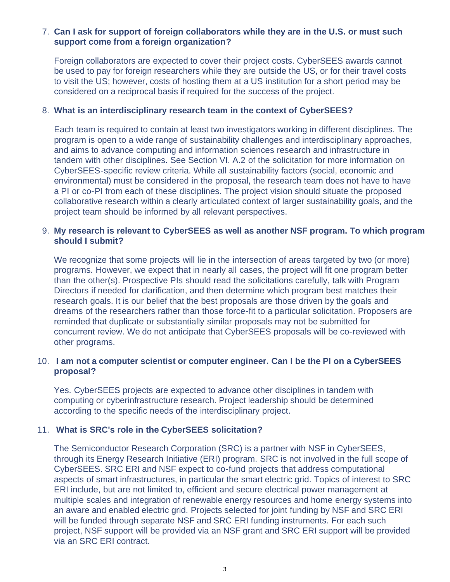## <span id="page-2-0"></span>7. **Can I ask for support of foreign collaborators while they are in the U.S. or must such support come from a foreign organization?**

Foreign collaborators are expected to cover their project costs. CyberSEES awards cannot be used to pay for foreign researchers while they are outside the US, or for their travel costs to visit the US; however, costs of hosting them at a US institution for a short period may be considered on a reciprocal basis if required for the success of the project.

#### 8. **What is an interdisciplinary research team in the context of CyberSEES?**

Each team is required to contain at least two investigators working in different disciplines. The program is open to a wide range of sustainability challenges and interdisciplinary approaches, and aims to advance computing and information sciences research and infrastructure in tandem with other disciplines. See Section VI. A.2 of the solicitation for more information on CyberSEES-specific review criteria. While all sustainability factors (social, economic and environmental) must be considered in the proposal, the research team does not have to have a PI or co-PI from each of these disciplines. The project vision should situate the proposed collaborative research within a clearly articulated context of larger sustainability goals, and the project team should be informed by all relevant perspectives.

## 9. **My research is relevant to CyberSEES as well as another NSF program. To which program should I submit?**

We recognize that some projects will lie in the intersection of areas targeted by two (or more) programs. However, we expect that in nearly all cases, the project will fit one program better than the other(s). Prospective PIs should read the solicitations carefully, talk with Program Directors if needed for clarification, and then determine which program best matches their research goals. It is our belief that the best proposals are those driven by the goals and dreams of the researchers rather than those force-fit to a particular solicitation. Proposers are reminded that duplicate or substantially similar proposals may not be submitted for concurrent review. We do not anticipate that CyberSEES proposals will be co-reviewed with other programs.

# 10. **I am not a computer scientist or computer engineer. Can I be the PI on a CyberSEES proposal?**

Yes. CyberSEES projects are expected to advance other disciplines in tandem with computing or cyberinfrastructure research. Project leadership should be determined according to the specific needs of the interdisciplinary project.

#### 11. **What is SRC's role in the CyberSEES solicitation?**

The Semiconductor Research Corporation (SRC) is a partner with NSF in CyberSEES, through its Energy Research Initiative (ERI) program. SRC is not involved in the full scope of CyberSEES. SRC ERI and NSF expect to co-fund projects that address computational aspects of smart infrastructures, in particular the smart electric grid. Topics of interest to SRC ERI include, but are not limited to, efficient and secure electrical power management at multiple scales and integration of renewable energy resources and home energy systems into an aware and enabled electric grid. Projects selected for joint funding by NSF and SRC ERI will be funded through separate NSF and SRC ERI funding instruments. For each such project, NSF support will be provided via an NSF grant and SRC ERI support will be provided via an SRC ERI contract.